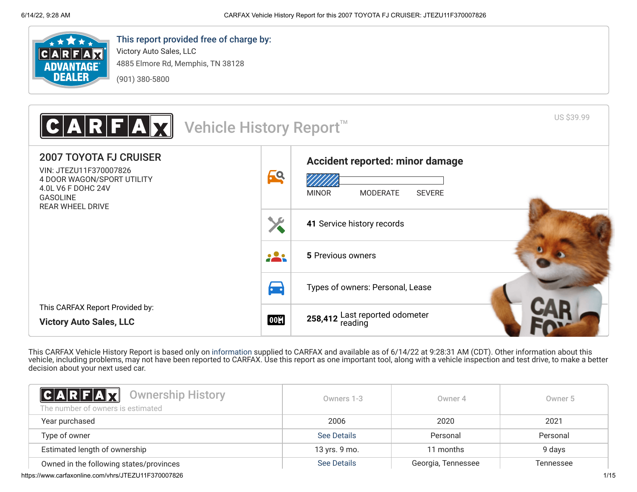

# This report provided free of charge by:

Victory Auto Sales, LLC 4885 Elmore Rd, Memphis, TN 38128 (901) 380-5800

US \$39.99 R Vehicle History Report<sup>™</sup> 2007 TOYOTA FJ CRUISER **[Accident reported: minor damage](#page-1-0)** VIN: JTEZU11F370007826 **69** 4 DOOR WAGON/SPORT UTILITY 4.0L V6 F DOHC 24V MINOR MODERATE SEVERE GASOLINE REAR WHEEL DRIVE X **41** [Service history records](#page-1-1) 223 **5** [Previous owners](#page-0-0)  $\blacktriangleright$ [Types of owners: Personal, Lease](#page-0-0) This CARFAX Report Provided by: **258,412** [Last reported odometer](#page-1-1) **00H Victory Auto Sales, LLC**

This CARFAX Vehicle History Report is based only on [information](http://www.carfax.com/company/vhr-data-sources) supplied to CARFAX and available as of 6/14/22 at 9:28:31 AM (CDT). Other information about this vehicle, including problems, may not have been reported to CARFAX. Use this report as one important tool, along with a vehicle inspection and test drive, to make a better decision about your next used car.

<span id="page-0-0"></span>

| <b>CARFAX</b> Ownership History<br>The number of owners is estimated | Owners 1-3         | Owner 4            | Owner 5   |
|----------------------------------------------------------------------|--------------------|--------------------|-----------|
| Year purchased                                                       | 2006               | 2020               | 2021      |
| Type of owner                                                        | See Details        | Personal           | Personal  |
| Estimated length of ownership                                        | 13 yrs. 9 mo.      | 11 months          | 9 days    |
| Owned in the following states/provinces                              | <b>See Details</b> | Georgia, Tennessee | Tennessee |

https://www.carfaxonline.com/vhrs/JTEZU11F370007826 1/15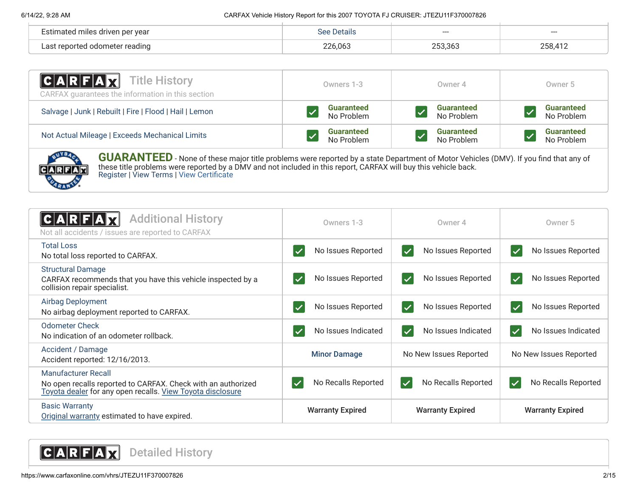| Estimated miles driven per year | Defails. | ----    | ---     |
|---------------------------------|----------|---------|---------|
| Last reported odometer reading  | 226,063  | .53,363 | 258,412 |

| C A R F A Z<br>Title History<br>CARFAX guarantees the information in this section | Owners 1-3        | Owner 4           | Owner 5           |
|-----------------------------------------------------------------------------------|-------------------|-------------------|-------------------|
| Salvage   Junk   Rebuilt   Fire   Flood   Hail   Lemon                            | <b>Guaranteed</b> | <b>Guaranteed</b> | <b>Guaranteed</b> |
|                                                                                   | No Problem        | No Problem        | No Problem        |
| Not Actual Mileage   Exceeds Mechanical Limits                                    | <b>Guaranteed</b> | <b>Guaranteed</b> | <b>Guaranteed</b> |
|                                                                                   | No Problem        | No Problem        | No Problem        |



**GUARANTEED** - None of these major title problems were reported by a state Department of Motor Vehicles (DMV). If you find that any of these title problems were reported by a DMV and not included in this report, CARFAX will buy this vehicle back. [Register](https://www.carfax.com/Service/bbg) | [View Terms](http://www.carfaxonline.com/legal/bbgTerms) | [View Certificate](https://www.carfaxonline.com/vhrs/JTEZU11F370007826)

<span id="page-1-0"></span>

| <b>Additional History</b><br>CARFA<br>Not all accidents / issues are reported to CARFAX                                                           | Owners 1-3                         | Owner 4                                        | Owner 5                                         |
|---------------------------------------------------------------------------------------------------------------------------------------------------|------------------------------------|------------------------------------------------|-------------------------------------------------|
| <b>Total Loss</b><br>No total loss reported to CARFAX.                                                                                            | No Issues Reported                 | No Issues Reported<br>$\vert \checkmark$       | No Issues Reported<br>$\blacktriangledown$      |
| <b>Structural Damage</b><br>CARFAX recommends that you have this vehicle inspected by a<br>collision repair specialist.                           | No Issues Reported<br>$\checkmark$ | No Issues Reported<br>$\overline{\checkmark}$  | No Issues Reported<br>$\blacktriangledown$      |
| Airbag Deployment<br>No airbag deployment reported to CARFAX.                                                                                     | No Issues Reported                 | No Issues Reported<br>$\overline{\checkmark}$  | No Issues Reported<br>$\overline{\checkmark}$   |
| Odometer Check<br>No indication of an odometer rollback.                                                                                          | No Issues Indicated                | No Issues Indicated<br>$\overline{\checkmark}$ | No Issues Indicated<br>$\blacktriangledown$     |
| Accident / Damage<br>Accident reported: 12/16/2013.                                                                                               | <b>Minor Damage</b>                | No New Issues Reported                         | No New Issues Reported                          |
| Manufacturer Recall<br>No open recalls reported to CARFAX. Check with an authorized<br>Toyota dealer for any open recalls. View Toyota disclosure | No Recalls Reported                | No Recalls Reported<br>$\checkmark$            | No Recalls Reported<br>$\overline{\mathcal{L}}$ |
| <b>Basic Warranty</b><br>Original warranty estimated to have expired.                                                                             | <b>Warranty Expired</b>            | <b>Warranty Expired</b>                        | <b>Warranty Expired</b>                         |

<span id="page-1-1"></span>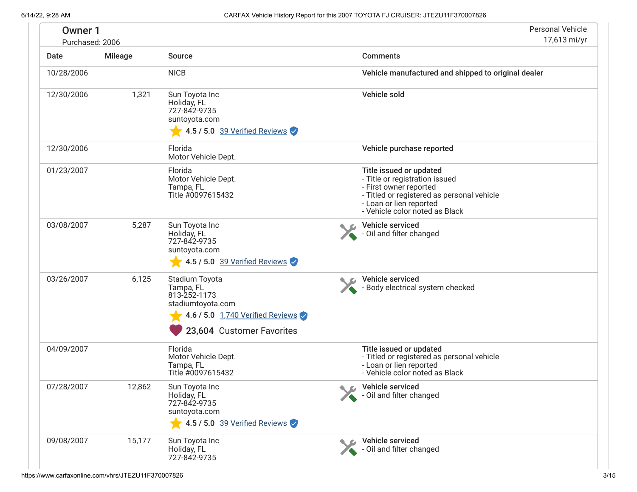<span id="page-2-0"></span>

| <b>Owner 1</b><br>Purchased: 2006 |                |                                                                                                                                                                    | <b>Personal Vehicle</b><br>17,613 mi/yr                                                                                                                                                        |
|-----------------------------------|----------------|--------------------------------------------------------------------------------------------------------------------------------------------------------------------|------------------------------------------------------------------------------------------------------------------------------------------------------------------------------------------------|
| Date                              | <b>Mileage</b> | Source                                                                                                                                                             | <b>Comments</b>                                                                                                                                                                                |
| 10/28/2006                        |                | <b>NICB</b>                                                                                                                                                        | Vehicle manufactured and shipped to original dealer                                                                                                                                            |
| 12/30/2006                        | 1,321          | Sun Toyota Inc<br>Holiday, FL<br>727-842-9735<br>suntoyota.com<br>$\sqrt{4.5/5.0}$ 39 Verified Reviews                                                             | Vehicle sold                                                                                                                                                                                   |
| 12/30/2006                        |                | Florida<br>Motor Vehicle Dept.                                                                                                                                     | Vehicle purchase reported                                                                                                                                                                      |
| 01/23/2007                        |                | Florida<br>Motor Vehicle Dept.<br>Tampa, FL<br>Title #0097615432                                                                                                   | Title issued or updated<br>- Title or registration issued<br>- First owner reported<br>- Titled or registered as personal vehicle<br>- Loan or lien reported<br>- Vehicle color noted as Black |
| 03/08/2007                        | 5,287          | Sun Toyota Inc<br>Holiday, FL<br>727-842-9735<br>suntoyota.com                                                                                                     | Vehicle serviced<br>- Oil and filter changed                                                                                                                                                   |
| 03/26/2007                        | 6,125          | 4.5 / 5.0 39 Verified Reviews<br>Stadium Toyota<br>Tampa, FL<br>813-252-1173<br>stadiumtoyota.com<br>4.6 / 5.0 1,740 Verified Reviews<br>23,604 Customer Favorites | Vehicle serviced<br>- Body electrical system checked                                                                                                                                           |
| 04/09/2007                        |                | Florida<br>Motor Vehicle Dept.<br>Tampa, FL<br>Title #0097615432                                                                                                   | Title issued or updated<br>- Titled or registered as personal vehicle<br>- Loan or lien reported<br>- Vehicle color noted as Black                                                             |
| 07/28/2007                        | 12,862         | Sun Toyota Inc<br>Holiday, FL<br>727-842-9735<br>suntoyota.com<br>4.5 / 5.0 39 Verified Reviews                                                                    | Vehicle serviced<br>- Oil and filter changed                                                                                                                                                   |
| 09/08/2007                        | 15,177         | Sun Toyota Inc<br>Holiday, FL<br>727-842-9735                                                                                                                      | Vehicle serviced<br>- Oil and filter changed                                                                                                                                                   |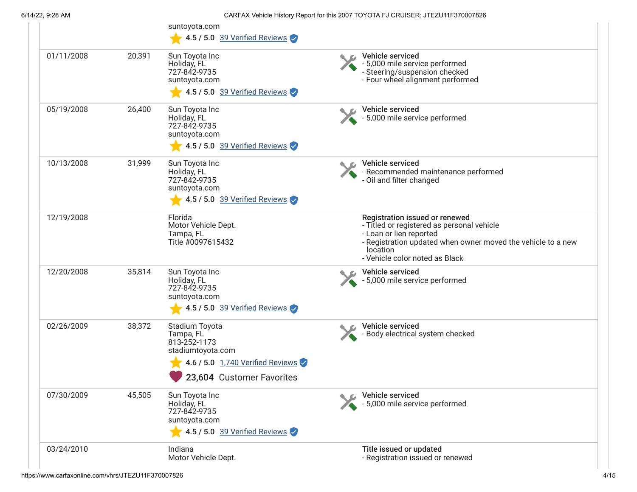|            |        | suntoyota.com<br>4.5 / 5.0 39 Verified Reviews                                                                                    |                                                                                                                                                                                                                       |
|------------|--------|-----------------------------------------------------------------------------------------------------------------------------------|-----------------------------------------------------------------------------------------------------------------------------------------------------------------------------------------------------------------------|
| 01/11/2008 | 20,391 | Sun Toyota Inc<br>Holiday, FL<br>727-842-9735<br>suntoyota.com<br>$\sqrt{4.5/5.0}$ 39 Verified Reviews                            | Vehicle serviced<br>- 5,000 mile service performed<br>- Steering/suspension checked<br>- Four wheel alignment performed                                                                                               |
| 05/19/2008 | 26,400 | Sun Toyota Inc<br>Holiday, FL<br>727-842-9735<br>suntoyota.com<br>4.5 / 5.0 39 Verified Reviews                                   | Vehicle serviced<br>- 5,000 mile service performed                                                                                                                                                                    |
| 10/13/2008 | 31,999 | Sun Toyota Inc<br>Holiday, FL<br>727-842-9735<br>suntoyota.com<br>$\blacktriangleright$ 4.5 / 5.0 39 Verified Reviews             | Vehicle serviced<br>- Recommended maintenance performed<br>- Oil and filter changed                                                                                                                                   |
| 12/19/2008 |        | Florida<br>Motor Vehicle Dept.<br>Tampa, FL<br>Title #0097615432                                                                  | Registration issued or renewed<br>- Titled or registered as personal vehicle<br>- Loan or lien reported<br>- Registration updated when owner moved the vehicle to a new<br>location<br>- Vehicle color noted as Black |
| 12/20/2008 | 35,814 | Sun Toyota Inc<br>Holiday, FL<br>727-842-9735<br>suntoyota.com<br>4.5 / 5.0 39 Verified Reviews                                   | Vehicle serviced<br>- 5,000 mile service performed                                                                                                                                                                    |
| 02/26/2009 | 38,372 | Stadium Toyota<br>Tampa, FL<br>813-252-1173<br>stadiumtoyota.com<br>4.6 / 5.0 1,740 Verified Reviews<br>23,604 Customer Favorites | Vehicle serviced<br>- Body electrical system checked                                                                                                                                                                  |
| 07/30/2009 | 45,505 | Sun Toyota Inc<br>Holiday, FL<br>727-842-9735<br>suntoyota.com<br>4.5 / 5.0 39 Verified Reviews                                   | Vehicle serviced<br>- 5,000 mile service performed                                                                                                                                                                    |
| 03/24/2010 |        | Indiana<br>Motor Vehicle Dept.                                                                                                    | Title issued or updated<br>- Registration issued or renewed                                                                                                                                                           |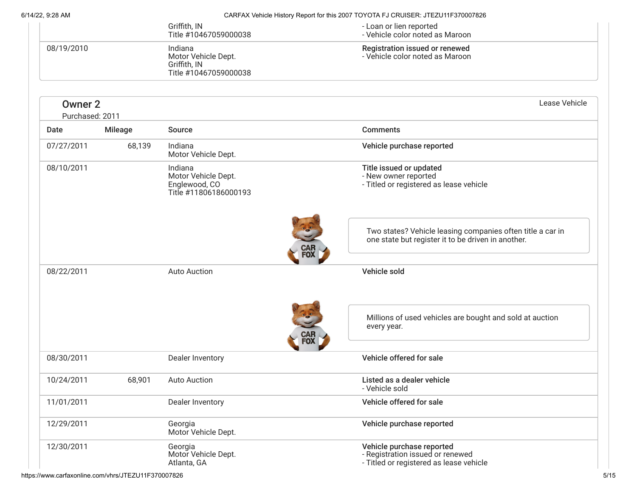| 722. J. ZU AIVI                   |                |                                                                          | ON WAS TO BOOT TO BE THE REPORT OF THE LOT OF THE OTHER LOT LATER OF LATER OF THE VEHICLE OF THE VEHICLE OF TH                        |
|-----------------------------------|----------------|--------------------------------------------------------------------------|---------------------------------------------------------------------------------------------------------------------------------------|
|                                   |                | Griffith, IN<br>Title #10467059000038                                    | - Loan or lien reported<br>- Vehicle color noted as Maroon                                                                            |
| 08/19/2010                        |                | Indiana<br>Motor Vehicle Dept.<br>Griffith, IN<br>Title #10467059000038  | Registration issued or renewed<br>- Vehicle color noted as Maroon                                                                     |
| <b>Owner 2</b><br>Purchased: 2011 |                |                                                                          | Lease Vehicle                                                                                                                         |
| Date                              | <b>Mileage</b> | Source                                                                   | <b>Comments</b>                                                                                                                       |
| 07/27/2011                        | 68,139         | Indiana<br>Motor Vehicle Dept.                                           | Vehicle purchase reported                                                                                                             |
| 08/10/2011                        |                | Indiana<br>Motor Vehicle Dept.<br>Englewood, CO<br>Title #11806186000193 | Title issued or updated<br>- New owner reported<br>- Titled or registered as lease vehicle                                            |
|                                   |                |                                                                          | Two states? Vehicle leasing companies often title a car in<br>one state but register it to be driven in another.<br><b>CAR</b><br>FOX |
| 08/22/2011                        |                | <b>Auto Auction</b>                                                      | Vehicle sold                                                                                                                          |
|                                   |                |                                                                          | Millions of used vehicles are bought and sold at auction<br>every year.<br>CAF<br>FOX                                                 |
| 08/30/2011                        |                | Dealer Inventory                                                         | Vehicle offered for sale                                                                                                              |
| 10/24/2011                        | 68,901         | <b>Auto Auction</b>                                                      | Listed as a dealer vehicle<br>- Vehicle sold                                                                                          |
| 11/01/2011                        |                | Dealer Inventory                                                         | Vehicle offered for sale                                                                                                              |
| 12/29/2011                        |                | Georgia<br>Motor Vehicle Dept.                                           | Vehicle purchase reported                                                                                                             |
| 12/30/2011                        |                | Georgia<br>Motor Vehicle Dept.<br>Atlanta, GA                            | Vehicle purchase reported<br>- Registration issued or renewed<br>- Titled or registered as lease vehicle                              |

https://www.carfaxonline.com/vhrs/JTEZU11F370007826 5/15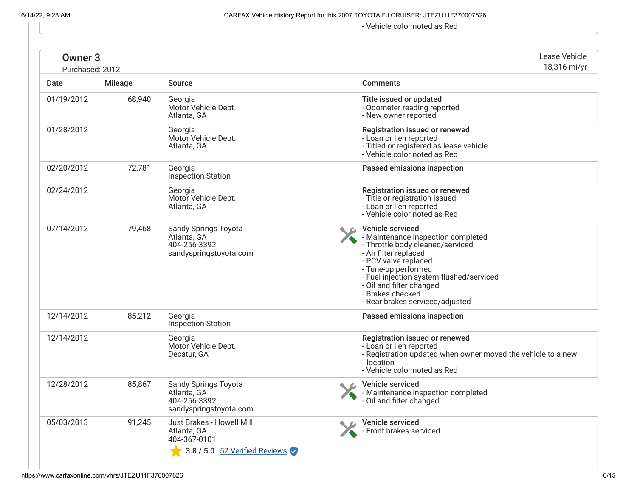- Vehicle color noted as Red

| Owner <sub>3</sub><br>Purchased: 2012 |                |                                                                                           |  | Lease Vehicle<br>18,316 mi/yr                                                                                                                                                                                                                                                                     |
|---------------------------------------|----------------|-------------------------------------------------------------------------------------------|--|---------------------------------------------------------------------------------------------------------------------------------------------------------------------------------------------------------------------------------------------------------------------------------------------------|
| Date                                  | <b>Mileage</b> | <b>Source</b>                                                                             |  | <b>Comments</b>                                                                                                                                                                                                                                                                                   |
| 01/19/2012                            | 68,940         | Georgia<br>Motor Vehicle Dept.<br>Atlanta, GA                                             |  | Title issued or updated<br>- Odometer reading reported<br>- New owner reported                                                                                                                                                                                                                    |
| 01/28/2012                            |                | Georgia<br>Motor Vehicle Dept.<br>Atlanta, GA                                             |  | Registration issued or renewed<br>- Loan or lien reported<br>- Titled or registered as lease vehicle<br>- Vehicle color noted as Red                                                                                                                                                              |
| 02/20/2012                            | 72,781         | Georgia<br><b>Inspection Station</b>                                                      |  | Passed emissions inspection                                                                                                                                                                                                                                                                       |
| 02/24/2012                            |                | Georgia<br>Motor Vehicle Dept.<br>Atlanta, GA                                             |  | Registration issued or renewed<br>- Title or registration issued<br>- Loan or lien reported<br>- Vehicle color noted as Red                                                                                                                                                                       |
| 07/14/2012                            | 79,468         | Sandy Springs Toyota<br>Atlanta, GA<br>404-256-3392<br>sandyspringstoyota.com             |  | Vehicle serviced<br>- Maintenance inspection completed<br>- Throttle body cleaned/serviced<br>- Air filter replaced<br>- PCV valve replaced<br>- Tune-up performed<br>- Fuel injection system flushed/serviced<br>- Oil and filter changed<br>- Brakes checked<br>- Rear brakes serviced/adjusted |
| 12/14/2012                            | 85,212         | Georgia<br><b>Inspection Station</b>                                                      |  | Passed emissions inspection                                                                                                                                                                                                                                                                       |
| 12/14/2012                            |                | Georgia<br>Motor Vehicle Dept.<br>Decatur, GA                                             |  | Registration issued or renewed<br>- Loan or lien reported<br>- Registration updated when owner moved the vehicle to a new<br>location<br>- Vehicle color noted as Red                                                                                                                             |
| 12/28/2012                            | 85,867         | <b>Sandy Springs Toyota</b><br>Atlanta, GA<br>404-256-3392<br>sandyspringstoyota.com      |  | Vehicle serviced<br>- Maintenance inspection completed<br>- Oil and filter changed                                                                                                                                                                                                                |
| 05/03/2013                            | 91,245         | Just Brakes - Howell Mill<br>Atlanta, GA<br>404-367-0101<br>3.8 / 5.0 52 Verified Reviews |  | Vehicle serviced<br>- Front brakes serviced                                                                                                                                                                                                                                                       |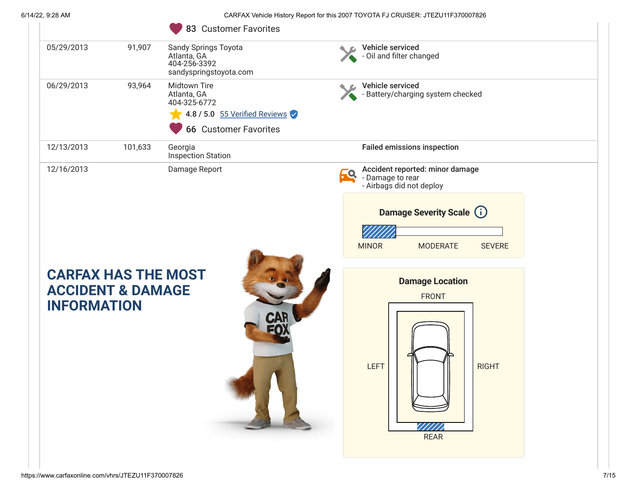|                                                                                  | 83 Customer Favorites                                                                                        |                                                                                                                                                                        |
|----------------------------------------------------------------------------------|--------------------------------------------------------------------------------------------------------------|------------------------------------------------------------------------------------------------------------------------------------------------------------------------|
| 05/29/2013<br>91,907                                                             | <b>Sandy Springs Toyota</b><br>Atlanta, GA<br>404-256-3392<br>sandyspringstoyota.com                         | Vehicle serviced<br>- Oil and filter changed                                                                                                                           |
| 06/29/2013<br>93,964                                                             | Midtown Tire<br>Atlanta, GA<br>404-325-6772<br>4.8 / 5.0 55 Verified Reviews<br><b>66 Customer Favorites</b> | Vehicle serviced<br>- Battery/charging system checked                                                                                                                  |
| 12/13/2013<br>101,633                                                            | Georgia<br><b>Inspection Station</b>                                                                         | <b>Failed emissions inspection</b>                                                                                                                                     |
| 12/16/2013                                                                       | Damage Report                                                                                                | Accident reported: minor damage<br>69<br>- Damage to rear<br>- Airbags did not deploy<br>Damage Severity Scale (i)<br><b>MINOR</b><br><b>MODERATE</b><br><b>SEVERE</b> |
| <b>CARFAX HAS THE MOST</b><br><b>ACCIDENT &amp; DAMAGE</b><br><b>INFORMATION</b> |                                                                                                              | <b>Damage Location</b><br><b>FRONT</b>                                                                                                                                 |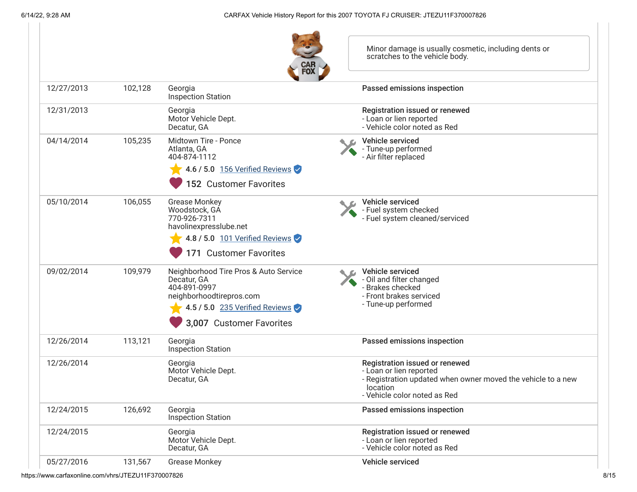| <b>CAR</b><br>FOX |  |
|-------------------|--|

Minor damage is usually cosmetic, including dents or scratches to the vehicle body.

|            |         | <b>FOX</b>                                                                                                                                                     |                                                                                                                                                                       |
|------------|---------|----------------------------------------------------------------------------------------------------------------------------------------------------------------|-----------------------------------------------------------------------------------------------------------------------------------------------------------------------|
| 12/27/2013 | 102,128 | Georgia<br><b>Inspection Station</b>                                                                                                                           | Passed emissions inspection                                                                                                                                           |
| 12/31/2013 |         | Georgia<br>Motor Vehicle Dept.<br>Decatur, GA                                                                                                                  | Registration issued or renewed<br>- Loan or lien reported<br>- Vehicle color noted as Red                                                                             |
| 04/14/2014 | 105,235 | Midtown Tire - Ponce<br>Atlanta, GA<br>404-874-1112                                                                                                            | Vehicle serviced<br>- Tune-up performed<br>- Air filter replaced                                                                                                      |
|            |         | 4.6 / 5.0 156 Verified Reviews<br>152 Customer Favorites                                                                                                       |                                                                                                                                                                       |
| 05/10/2014 | 106,055 | <b>Grease Monkey</b><br>Woodstock, GÁ<br>770-926-7311<br>havolinexpresslube.net<br>4.8 / 5.0 101 Verified Reviews<br>171 Customer Favorites                    | Vehicle serviced<br>- Fuel system checked<br>- Fuel system cleaned/serviced                                                                                           |
| 09/02/2014 | 109,979 | Neighborhood Tire Pros & Auto Service<br>Decatur, GA<br>404-891-0997<br>neighborhoodtirepros.com<br>4.5 / 5.0 235 Verified Reviews<br>3,007 Customer Favorites | Vehicle serviced<br>- Oil and filter changed<br>- Brakes checked<br>- Front brakes serviced<br>- Tune-up performed                                                    |
| 12/26/2014 | 113,121 | Georgia<br>Inspection Station                                                                                                                                  | Passed emissions inspection                                                                                                                                           |
| 12/26/2014 |         | Georgia<br>Motor Vehicle Dept.<br>Decatur, GA                                                                                                                  | Registration issued or renewed<br>- Loan or lien reported<br>- Registration updated when owner moved the vehicle to a new<br>location<br>- Vehicle color noted as Red |
| 12/24/2015 | 126,692 | Georgia<br>Inspection Station                                                                                                                                  | Passed emissions inspection                                                                                                                                           |
| 12/24/2015 |         | Georgia<br>Motor Vehicle Dept.<br>Decatur, GA                                                                                                                  | Registration issued or renewed<br>- Loan or lien reported<br>- Vehicle color noted as Red                                                                             |
| 05/27/2016 | 131,567 | <b>Grease Monkey</b>                                                                                                                                           | Vehicle serviced                                                                                                                                                      |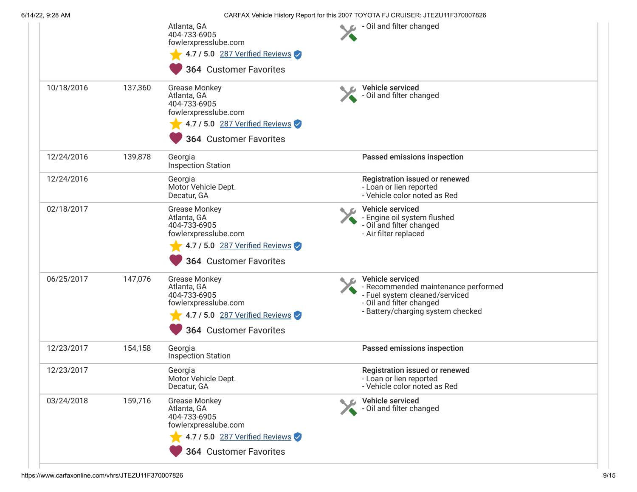|            |         | Atlanta, GA<br>404-733-6905<br>fowlerxpresslube.com<br>4.7 / 5.0 287 Verified Reviews<br><b>364 Customer Favorites</b>                         | - Oil and filter changed                                                                                                                                   |
|------------|---------|------------------------------------------------------------------------------------------------------------------------------------------------|------------------------------------------------------------------------------------------------------------------------------------------------------------|
| 10/18/2016 | 137,360 | <b>Grease Monkey</b><br>Atlanta, GA<br>404-733-6905<br>fowlerxpresslube.com<br>4.7 / 5.0 287 Verified Reviews<br><b>364 Customer Favorites</b> | Vehicle serviced<br>- Oil and filter changed                                                                                                               |
| 12/24/2016 | 139,878 | Georgia<br><b>Inspection Station</b>                                                                                                           | Passed emissions inspection                                                                                                                                |
| 12/24/2016 |         | Georgia<br>Motor Vehicle Dept.<br>Decatur, GA                                                                                                  | Registration issued or renewed<br>- Loan or lien reported<br>- Vehicle color noted as Red                                                                  |
| 02/18/2017 |         | <b>Grease Monkey</b><br>Atlanta, GA<br>404-733-6905<br>fowlerxpresslube.com<br>4.7 / 5.0 287 Verified Reviews<br><b>364 Customer Favorites</b> | Vehicle serviced<br>- Engine oil system flushed<br>- Oil and filter changed<br>- Air filter replaced                                                       |
| 06/25/2017 | 147,076 | <b>Grease Monkey</b><br>Atlanta, GA<br>404-733-6905<br>fowlerxpresslube.com<br>4.7 / 5.0 287 Verified Reviews<br><b>364 Customer Favorites</b> | Vehicle serviced<br>- Recommended maintenance performed<br>- Fuel system cleaned/serviced<br>- Oil and filter changed<br>- Battery/charging system checked |
| 12/23/2017 | 154,158 | Georgia<br><b>Inspection Station</b>                                                                                                           | Passed emissions inspection                                                                                                                                |
| 12/23/2017 |         | Georgia<br>Motor Vehicle Dept.<br>Decatur, GA                                                                                                  | Registration issued or renewed<br>- Loan or lien reported<br>- Vehicle color noted as Red                                                                  |
| 03/24/2018 | 159,716 | <b>Grease Monkey</b><br>Atlanta, GA<br>404-733-6905<br>fowlerxpresslube.com<br>4.7 / 5.0 287 Verified Reviews<br>364 Customer Favorites        | Vehicle serviced<br>- Oil and filter changed                                                                                                               |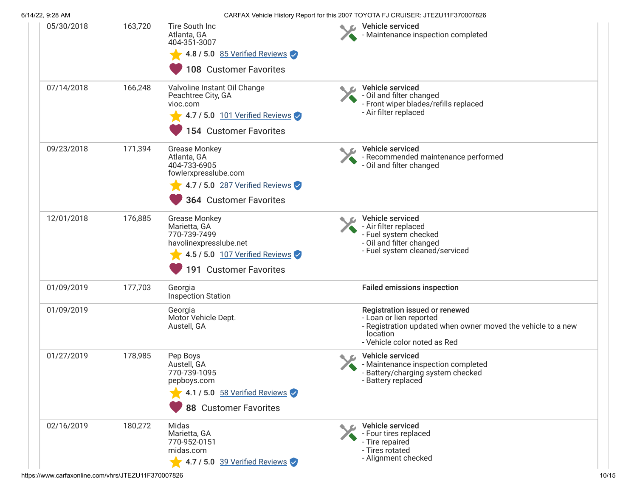| 6/14/22, 9:28 AM |         |                                                                                                                                                | CARFAX Vehicle History Report for this 2007 TOYOTA FJ CRUISER: JTEZU11F370007826                                                                                      |
|------------------|---------|------------------------------------------------------------------------------------------------------------------------------------------------|-----------------------------------------------------------------------------------------------------------------------------------------------------------------------|
| 05/30/2018       | 163,720 | Tire South Inc<br>Atlanta, GA<br>404-351-3007<br>4.8 / 5.0 85 Verified Reviews<br>108 Customer Favorites                                       | Vehicle serviced<br>- Maintenance inspection completed                                                                                                                |
| 07/14/2018       | 166,248 | Valvoline Instant Oil Change<br>Peachtree City, GA<br>vioc.com<br>4.7 / 5.0 101 Verified Reviews<br>154 Customer Favorites                     | Vehicle serviced<br>- Oil and filter changed<br>- Front wiper blades/refills replaced<br>- Air filter replaced                                                        |
| 09/23/2018       | 171,394 | <b>Grease Monkey</b><br>Atlanta, GA<br>404-733-6905<br>fowlerxpresslube.com<br>4.7 / 5.0 287 Verified Reviews<br><b>364 Customer Favorites</b> | Vehicle serviced<br>- Recommended maintenance performed<br>- Oil and filter changed                                                                                   |
| 12/01/2018       | 176,885 | <b>Grease Monkey</b><br>Marietta, GA<br>770-739-7499<br>havolinexpresslube.net<br>4.5 / 5.0 107 Verified Reviews<br>191 Customer Favorites     | Vehicle serviced<br>- Air filter replaced<br>- Fuel system checked<br>- Oil and filter changed<br>- Fuel system cleaned/serviced                                      |
| 01/09/2019       | 177,703 | Georgia<br><b>Inspection Station</b>                                                                                                           | <b>Failed emissions inspection</b>                                                                                                                                    |
| 01/09/2019       |         | Georgia<br>Motor Vehicle Dept.<br>Austell, GA                                                                                                  | Registration issued or renewed<br>- Loan or lien reported<br>- Registration updated when owner moved the vehicle to a new<br>location<br>- Vehicle color noted as Red |
| 01/27/2019       | 178,985 | Pep Boys<br>Austell, GA<br>770-739-1095<br>pepboys.com<br>4.1 / 5.0 58 Verified Reviews<br>88 Customer Favorites                               | Vehicle serviced<br>- Maintenance inspection completed<br>- Battery/charging system checked<br>- Battery replaced                                                     |
| 02/16/2019       | 180,272 | Midas<br>Marietta, GA<br>770-952-0151<br>midas.com<br>4.7 / 5.0 39 Verified Reviews                                                            | Vehicle serviced<br>- Four tires replaced<br>- Tire repaired<br>- Tires rotated<br>- Alignment checked                                                                |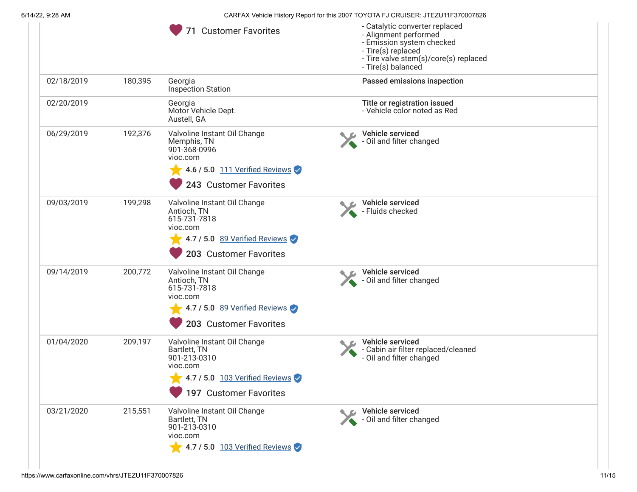|            |         | 71 Customer Favorites                                                                                                                | - Catalytic converter replaced<br>- Alignment performed<br>- Emission system checked<br>- Tire(s) replaced<br>- Tire valve stem(s)/core(s) replaced<br>- Tire(s) balanced |  |
|------------|---------|--------------------------------------------------------------------------------------------------------------------------------------|---------------------------------------------------------------------------------------------------------------------------------------------------------------------------|--|
| 02/18/2019 | 180,395 | Georgia<br>Inspection Station                                                                                                        | Passed emissions inspection                                                                                                                                               |  |
| 02/20/2019 |         | Georgia<br>Motor Vehicle Dept.<br>Austell, GA                                                                                        | Title or registration issued<br>- Vehicle color noted as Red                                                                                                              |  |
| 06/29/2019 | 192,376 | Valvoline Instant Oil Change<br>Memphis, TN<br>901-368-0996<br>vioc.com<br>4.6 / 5.0 111 Verified Reviews<br>243 Customer Favorites  | Vehicle serviced<br>- Oil and filter changed                                                                                                                              |  |
| 09/03/2019 | 199,298 | Valvoline Instant Oil Change<br>Antioch, TN<br>615-731-7818<br>vioc.com<br>4.7 / 5.0 89 Verified Reviews<br>203 Customer Favorites   | Vehicle serviced<br>- Fluids checked                                                                                                                                      |  |
| 09/14/2019 | 200,772 | Valvoline Instant Oil Change<br>Antioch, TN<br>615-731-7818<br>vioc.com<br>4.7 / 5.0 89 Verified Reviews<br>203 Customer Favorites   | Vehicle serviced<br>- Oil and filter changed                                                                                                                              |  |
| 01/04/2020 | 209,197 | Valvoline Instant Oil Change<br>Bartlett, TN<br>901-213-0310<br>vioc.com<br>4.7 / 5.0 103 Verified Reviews<br>197 Customer Favorites | Vehicle serviced<br>- Cabin air filter replaced/cleaned<br>- Oil and filter changed                                                                                       |  |
| 03/21/2020 | 215,551 | Valvoline Instant Oil Change<br>Bartlett, TN<br>901-213-0310<br>vioc.com<br>$\sqrt{4.7/5.0}$ 103 Verified Reviews                    | Vehicle serviced<br>- Oil and filter changed                                                                                                                              |  |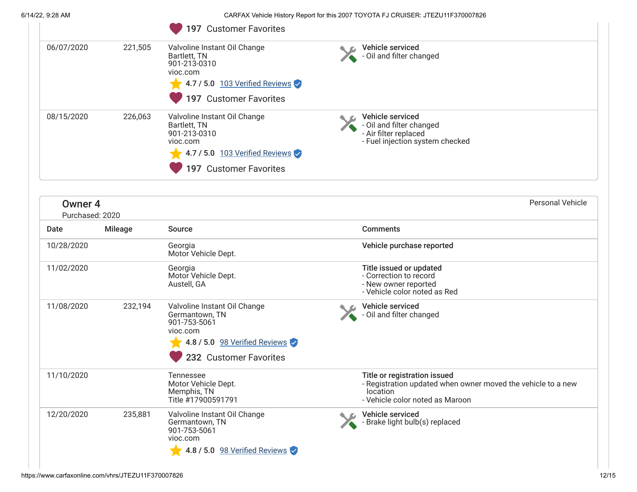|                                       |                | 197 Customer Favorites                                                                                                               |                                                                                                          |                  |
|---------------------------------------|----------------|--------------------------------------------------------------------------------------------------------------------------------------|----------------------------------------------------------------------------------------------------------|------------------|
| 06/07/2020                            | 221,505        | Valvoline Instant Oil Change<br>Bartlett, TN<br>901-213-0310<br>vioc.com<br>4.7 / 5.0 103 Verified Reviews<br>197 Customer Favorites | Vehicle serviced<br>- Oil and filter changed                                                             |                  |
| 08/15/2020                            | 226,063        | Valvoline Instant Oil Change<br>Bartlett, TN<br>901-213-0310<br>vioc.com<br>4.7 / 5.0 103 Verified Reviews<br>197 Customer Favorites | Vehicle serviced<br>- Oil and filter changed<br>- Air filter replaced<br>- Fuel injection system checked |                  |
| Owner <sub>4</sub><br>Purchased: 2020 |                |                                                                                                                                      |                                                                                                          | Personal Vehicle |
| Date                                  | <b>Mileage</b> | Source                                                                                                                               | <b>Comments</b>                                                                                          |                  |
| 10/28/2020                            |                | Georgia<br>Motor Vehicle Dept.                                                                                                       | Vehicle purchase reported                                                                                |                  |
| 11/02/2020                            |                | Georgia<br>Motor Vehicle Dept.<br>$A \cdot A = I \cdot H$                                                                            | Title issued or updated<br>- Correction to record<br>Allaced access and constructions                    |                  |

|            |         | <b>INIULUI VEHICIE DEDL.</b><br>Austell, GA                                                                                           | - GOLIECHOIL IO TECOLU<br>- New owner reported<br>- Vehicle color noted as Red                                                                     |
|------------|---------|---------------------------------------------------------------------------------------------------------------------------------------|----------------------------------------------------------------------------------------------------------------------------------------------------|
| 11/08/2020 | 232,194 | Valvoline Instant Oil Change<br>Germantown, TN<br>901-753-5061<br>vioc.com<br>4.8 / 5.0 98 Verified Reviews<br>232 Customer Favorites | Vehicle serviced<br>- Oil and filter changed                                                                                                       |
| 11/10/2020 |         | Tennessee<br>Motor Vehicle Dept.<br>Memphis, TN<br>Title #17900591791                                                                 | Title or registration issued<br>- Registration updated when owner moved the vehicle to a new<br><i>location</i><br>- Vehicle color noted as Maroon |
| 12/20/2020 | 235,881 | Valvoline Instant Oil Change<br>Germantown, TN<br>901-753-5061<br>vioc.com<br>4.8 / 5.0 98 Verified Reviews                           | Vehicle serviced<br>- Brake light bulb(s) replaced                                                                                                 |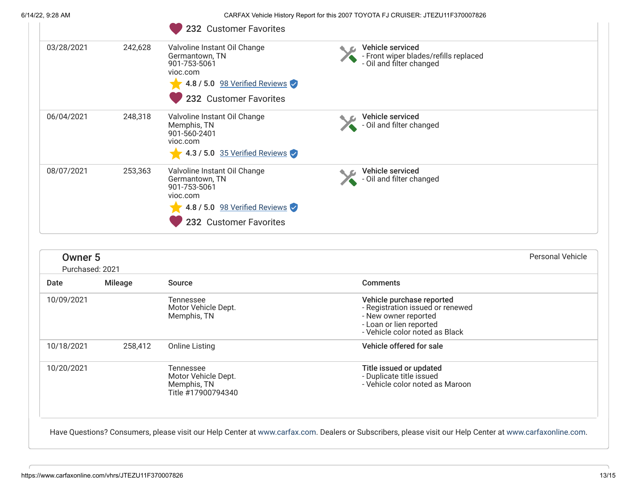|                                   | CARFAX Vehicle History Report for this 2007 TOYOTA FJ CRUISER: JTEZU11F370007826<br>232 Customer Favorites                            |  |                                                                                                                                                    |                                                                                                                                                                                       |
|-----------------------------------|---------------------------------------------------------------------------------------------------------------------------------------|--|----------------------------------------------------------------------------------------------------------------------------------------------------|---------------------------------------------------------------------------------------------------------------------------------------------------------------------------------------|
| 242,628                           | Valvoline Instant Oil Change<br>Germantown, TN<br>901-753-5061<br>vioc.com<br>4.8 / 5.0 98 Verified Reviews<br>232 Customer Favorites |  |                                                                                                                                                    |                                                                                                                                                                                       |
| 248,318                           | Valvoline Instant Oil Change<br>Memphis, TN<br>901-560-2401<br>vioc.com<br>$\sqrt{4.3 / 5.0}$ 35 Verified Reviews                     |  |                                                                                                                                                    |                                                                                                                                                                                       |
| 253,363                           | Valvoline Instant Oil Change<br>Germantown, TN<br>901-753-5061<br>vioc.com<br>4.8 / 5.0 98 Verified Reviews<br>232 Customer Favorites |  |                                                                                                                                                    |                                                                                                                                                                                       |
| <b>Owner 5</b><br>Purchased: 2021 |                                                                                                                                       |  |                                                                                                                                                    | <b>Personal Vehicle</b>                                                                                                                                                               |
| <b>Mileage</b>                    | <b>Source</b>                                                                                                                         |  | <b>Comments</b>                                                                                                                                    |                                                                                                                                                                                       |
|                                   |                                                                                                                                       |  |                                                                                                                                                    |                                                                                                                                                                                       |
|                                   | Tennessee<br>Motor Vehicle Dept.<br>Memphis, TN                                                                                       |  | Vehicle purchase reported<br>- Registration issued or renewed<br>- New owner reported<br>- Loan or lien reported<br>- Vehicle color noted as Black |                                                                                                                                                                                       |
| 258,412                           | <b>Online Listing</b>                                                                                                                 |  | Vehicle offered for sale                                                                                                                           |                                                                                                                                                                                       |
|                                   |                                                                                                                                       |  |                                                                                                                                                    | Vehicle serviced<br>- Front wiper blades/refills replaced<br>- Oil and filter changed<br>Vehicle serviced<br>- Oil and filter changed<br>Vehicle serviced<br>- Oil and filter changed |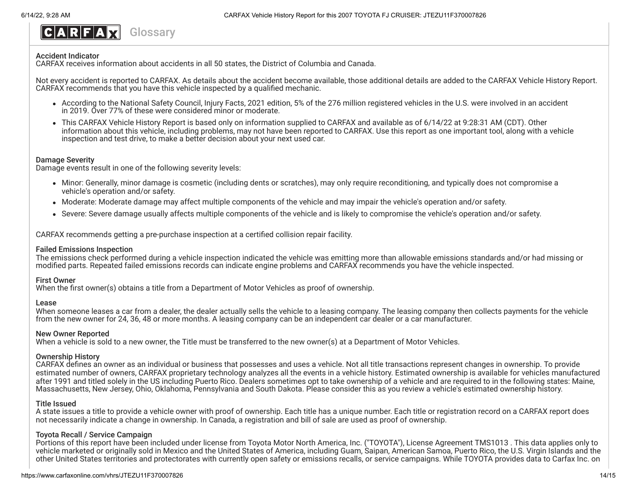<span id="page-13-0"></span>

#### Accident Indicator

CARFAX receives information about accidents in all 50 states, the District of Columbia and Canada.

Not every accident is reported to CARFAX. As details about the accident become available, those additional details are added to the CARFAX Vehicle History Report. CARFAX recommends that you have this vehicle inspected by a qualified mechanic.

- According to the National Safety Council, Injury Facts, 2021 edition, 5% of the 276 million registered vehicles in the U.S. were involved in an accident in 2019. Over 77% of these were considered minor or moderate.
- This CARFAX Vehicle History Report is based only on information supplied to CARFAX and available as of 6/14/22 at 9:28:31 AM (CDT). Other information about this vehicle, including problems, may not have been reported to CARFAX. Use this report as one important tool, along with a vehicle inspection and test drive, to make a better decision about your next used car.

#### Damage Severity

Damage events result in one of the following severity levels:

- Minor: Generally, minor damage is cosmetic (including dents or scratches), may only require reconditioning, and typically does not compromise a vehicle's operation and/or safety.
- Moderate: Moderate damage may affect multiple components of the vehicle and may impair the vehicle's operation and/or safety.
- Severe: Severe damage usually affects multiple components of the vehicle and is likely to compromise the vehicle's operation and/or safety.

CARFAX recommends getting a pre-purchase inspection at a certified collision repair facility.

#### Failed Emissions Inspection

The emissions check performed during a vehicle inspection indicated the vehicle was emitting more than allowable emissions standards and/or had missing or modified parts. Repeated failed emissions records can indicate engine problems and CARFAX recommends you have the vehicle inspected.

#### First Owner

When the first owner(s) obtains a title from a Department of Motor Vehicles as proof of ownership.

#### Lease

When someone leases a car from a dealer, the dealer actually sells the vehicle to a leasing company. The leasing company then collects payments for the vehicle from the new owner for 24, 36, 48 or more months. A leasing company can be an independent car dealer or a car manufacturer.

#### New Owner Reported

When a vehicle is sold to a new owner, the Title must be transferred to the new owner(s) at a Department of Motor Vehicles.

#### Ownership History

CARFAX defines an owner as an individual or business that possesses and uses a vehicle. Not all title transactions represent changes in ownership. To provide estimated number of owners, CARFAX proprietary technology analyzes all the events in a vehicle history. Estimated ownership is available for vehicles manufactured after 1991 and titled solely in the US including Puerto Rico. Dealers sometimes opt to take ownership of a vehicle and are required to in the following states: Maine, Massachusetts, New Jersey, Ohio, Oklahoma, Pennsylvania and South Dakota. Please consider this as you review a vehicle's estimated ownership history.

## Title Issued

A state issues a title to provide a vehicle owner with proof of ownership. Each title has a unique number. Each title or registration record on a CARFAX report does not necessarily indicate a change in ownership. In Canada, a registration and bill of sale are used as proof of ownership.

## Toyota Recall / Service Campaign

Portions of this report have been included under license from Toyota Motor North America, Inc. ("TOYOTA"), License Agreement TMS1013 . This data applies only to vehicle marketed or originally sold in Mexico and the United States of America, including Guam, Saipan, American Samoa, Puerto Rico, the U.S. Virgin Islands and the other United States territories and protectorates with currently open safety or emissions recalls, or service campaigns. While TOYOTA provides data to Carfax Inc. on